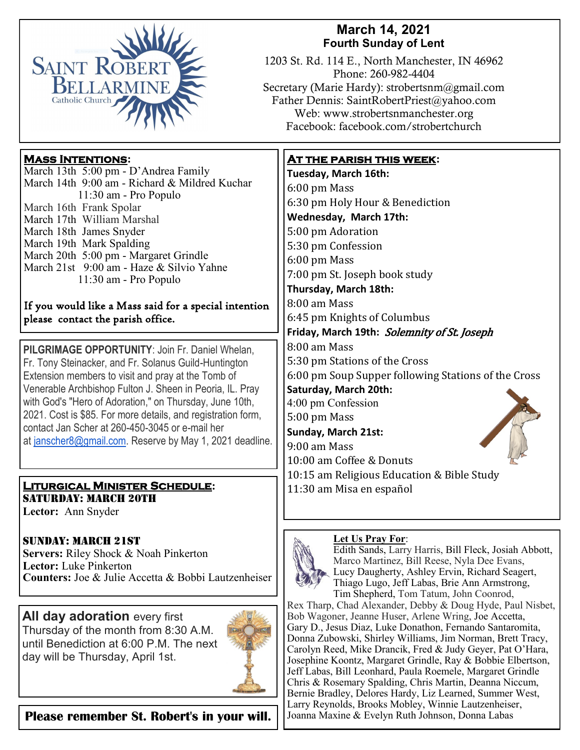

# **March 14, 2021 Fourth Sunday of Lent**

1203 St. Rd. 114 E., North Manchester, IN 46962 Phone: 260-982-4404 Secretary (Marie Hardy): strobertsnm@gmail.com Father Dennis: SaintRobertPriest@yahoo.com Web: www.strobertsnmanchester.org Facebook: facebook.com/strobertchurch

## **Mass Intentions:**

March 13th 5:00 pm - D'Andrea Family March 14th 9:00 am - Richard & Mildred Kuchar 11:30 am - Pro Populo March 16th Frank Spolar March 17th William Marshal March 18th James Snyder March 19th Mark Spalding March 20th 5:00 pm - Margaret Grindle March 21st 9:00 am - Haze & Silvio Yahne 11:30 am - Pro Populo

### If you would like a Mass said for a special intention please contact the parish office.

**PILGRIMAGE OPPORTUNITY**: Join Fr. Daniel Whelan, Fr. Tony Steinacker, and Fr. Solanus Guild-Huntington Extension members to visit and pray at the Tomb of Venerable Archbishop Fulton J. Sheen in Peoria, IL. Pray with God's "Hero of Adoration," on Thursday, June 10th, 2021. Cost is \$85. For more details, and registration form, contact Jan Scher at 260-450-3045 or e-mail her at [janscher8@gmail.com.](mailto:janscher8@gmail.com) Reserve by May 1, 2021 deadline.

### **Liturgical Minister Schedule:** SATURDAY: MARCH 20TH

**Lector:** Ann Snyder

## Sunday: March 21st

**Servers:** Riley Shock & Noah Pinkerton **Lector:** Luke Pinkerton **Counters:** Joe & Julie Accetta & Bobbi Lautzenheiser

**All day adoration every first** Thursday of the month from 8:30 A.M. until Benediction at 6:00 P.M. The next day will be Thursday, April 1st.



**Please remember St. Robert's in your will.** | Joanna Maxine & Evelyn Ruth Johnson, Donna Labas

## **At the parish this week:**

**Tuesday, March 16th:**  6:00 pm Mass 6:30 pm Holy Hour & Benediction **Wednesday, March 17th:** 5:00 pm Adoration 5:30 pm Confession 6:00 pm Mass 7:00 pm St. Joseph book study **Thursday, March 18th:** 8:00 am Mass 6:45 pm Knights of Columbus **Friday, March 19th:** Solemnity of St. Joseph 8:00 am Mass 5:30 pm Stations of the Cross 6:00 pm Soup Supper following Stations of the Cross **Saturday, March 20th:** 4:00 pm Confession 5:00 pm Mass **Sunday, March 21st:** 9:00 am Mass 10:00 am Coffee & Donuts 10:15 am Religious Education & Bible Study 11:30 am Misa en español

#### **Let Us Pray For**:



Edith Sands, Larry Harris, Bill Fleck, Josiah Abbott, Marco Martinez, Bill Reese, Nyla Dee Evans, Lucy Daugherty, Ashley Ervin, Richard Seagert, Thiago Lugo, Jeff Labas, Brie Ann Armstrong, Tim Shepherd, Tom Tatum, John Coonrod,

Rex Tharp, Chad Alexander, Debby & Doug Hyde, Paul Nisbet, Bob Wagoner, Jeanne Huser, Arlene Wring, Joe Accetta, Gary D., Jesus Diaz, Luke Donathon, Fernando Santaromita, Donna Zubowski, Shirley Williams, Jim Norman, Brett Tracy, Carolyn Reed, Mike Drancik, Fred & Judy Geyer, Pat O'Hara, Josephine Koontz, Margaret Grindle, Ray & Bobbie Elbertson, Jeff Labas, Bill Leonhard, Paula Roemele, Margaret Grindle Chris & Rosemary Spalding, Chris Martin, Deanna Niccum, Bernie Bradley, Delores Hardy, Liz Learned, Summer West, Larry Reynolds, Brooks Mobley, Winnie Lautzenheiser,